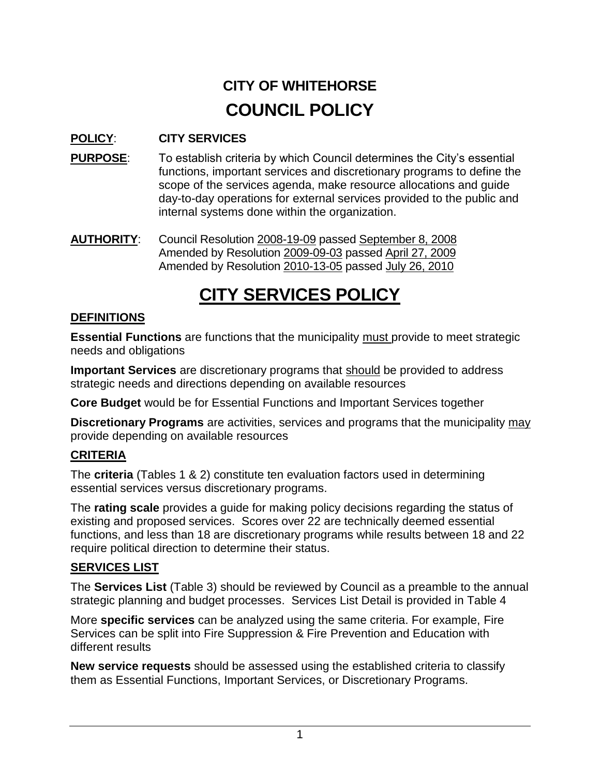# **CITY OF WHITEHORSE COUNCIL POLICY**

# **POLICY**: **CITY SERVICES**

- **PURPOSE:** To establish criteria by which Council determines the City's essential functions, important services and discretionary programs to define the scope of the services agenda, make resource allocations and guide day-to-day operations for external services provided to the public and internal systems done within the organization.
- **AUTHORITY**: Council Resolution 2008-19-09 passed September 8, 2008 Amended by Resolution 2009-09-03 passed April 27, 2009 Amended by Resolution 2010-13-05 passed July 26, 2010

# **CITY SERVICES POLICY**

## **DEFINITIONS**

**Essential Functions** are functions that the municipality must provide to meet strategic needs and obligations

**Important Services** are discretionary programs that should be provided to address strategic needs and directions depending on available resources

**Core Budget** would be for Essential Functions and Important Services together

**Discretionary Programs** are activities, services and programs that the municipality may provide depending on available resources

## **CRITERIA**

The **criteria** (Tables 1 & 2) constitute ten evaluation factors used in determining essential services versus discretionary programs.

The **rating scale** provides a guide for making policy decisions regarding the status of existing and proposed services. Scores over 22 are technically deemed essential functions, and less than 18 are discretionary programs while results between 18 and 22 require political direction to determine their status.

## **SERVICES LIST**

The **Services List** (Table 3) should be reviewed by Council as a preamble to the annual strategic planning and budget processes. Services List Detail is provided in Table 4

More **specific services** can be analyzed using the same criteria. For example, Fire Services can be split into Fire Suppression & Fire Prevention and Education with different results

**New service requests** should be assessed using the established criteria to classify them as Essential Functions, Important Services, or Discretionary Programs.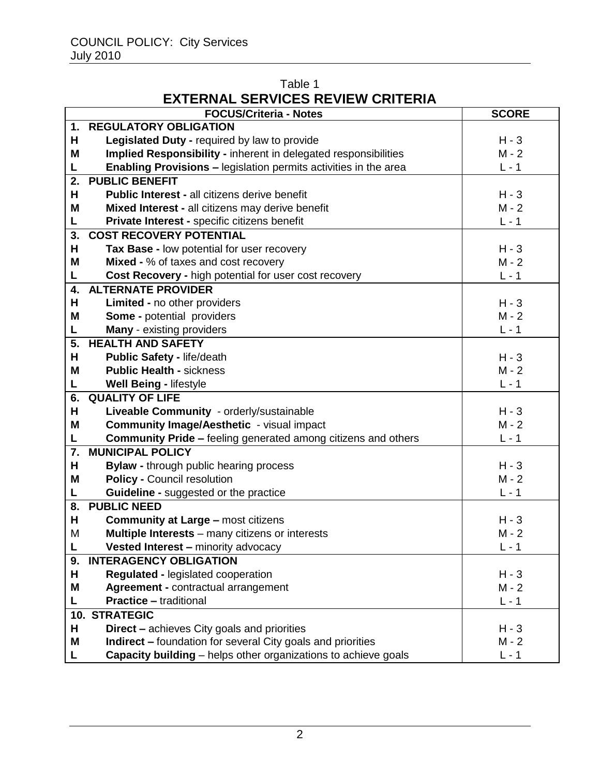## Table 1 **EXTERNAL SERVICES REVIEW CRITERIA**

|    | <b>FOCUS/Criteria - Notes</b>                                         | <b>SCORE</b> |
|----|-----------------------------------------------------------------------|--------------|
| 1. | <b>REGULATORY OBLIGATION</b>                                          |              |
| н  | Legislated Duty - required by law to provide                          | $H - 3$      |
| M  | Implied Responsibility - inherent in delegated responsibilities       | $M - 2$      |
| L  | Enabling Provisions - legislation permits activities in the area      | $L - 1$      |
| 2. | <b>PUBLIC BENEFIT</b>                                                 |              |
| н  | <b>Public Interest - all citizens derive benefit</b>                  | $H - 3$      |
| Μ  | Mixed Interest - all citizens may derive benefit                      | $M - 2$      |
| Г  | Private Interest - specific citizens benefit                          | $L - 1$      |
| 3. | <b>COST RECOVERY POTENTIAL</b>                                        |              |
| н  | Tax Base - low potential for user recovery                            | $H - 3$      |
| M  | Mixed - % of taxes and cost recovery                                  | $M - 2$      |
| L  | Cost Recovery - high potential for user cost recovery                 | $L - 1$      |
| 4. | <b>ALTERNATE PROVIDER</b>                                             |              |
| н  | Limited - no other providers                                          | $H - 3$      |
| M  | <b>Some - potential providers</b>                                     | $M - 2$      |
| L  | <b>Many</b> - existing providers                                      | $L - 1$      |
| 5. | <b>HEALTH AND SAFETY</b>                                              |              |
| н  | <b>Public Safety - life/death</b>                                     | $H - 3$      |
| Μ  | <b>Public Health - sickness</b>                                       | $M - 2$      |
| L  | <b>Well Being - lifestyle</b>                                         | $L - 1$      |
| 6. | <b>QUALITY OF LIFE</b>                                                |              |
| н  | Liveable Community - orderly/sustainable                              | $H - 3$      |
| M  | <b>Community Image/Aesthetic - visual impact</b>                      | $M - 2$      |
| Г  | <b>Community Pride - feeling generated among citizens and others</b>  | $L - 1$      |
| 7. | <b>MUNICIPAL POLICY</b>                                               |              |
| н  | <b>Bylaw - through public hearing process</b>                         | $H - 3$      |
| Μ  | <b>Policy - Council resolution</b>                                    | $M - 2$      |
| L  | Guideline - suggested or the practice                                 | $L - 1$      |
| 8. | <b>PUBLIC NEED</b>                                                    |              |
| н  | <b>Community at Large - most citizens</b>                             | $H - 3$      |
| M  | <b>Multiple Interests</b> – many citizens or interests                | $M - 2$      |
| L  | Vested Interest - minority advocacy                                   | L - 1        |
| 9. | <b>INTERAGENCY OBLIGATION</b>                                         |              |
| н  | Regulated - legislated cooperation                                    | $H - 3$      |
| Μ  | Agreement - contractual arrangement                                   | $M - 2$      |
| L  | <b>Practice - traditional</b>                                         | $L - 1$      |
|    | <b>10. STRATEGIC</b>                                                  |              |
| н  | <b>Direct</b> – achieves City goals and priorities                    | $H - 3$      |
| M  | <b>Indirect –</b> foundation for several City goals and priorities    | $M - 2$      |
| Г  | <b>Capacity building</b> – helps other organizations to achieve goals | $L - 1$      |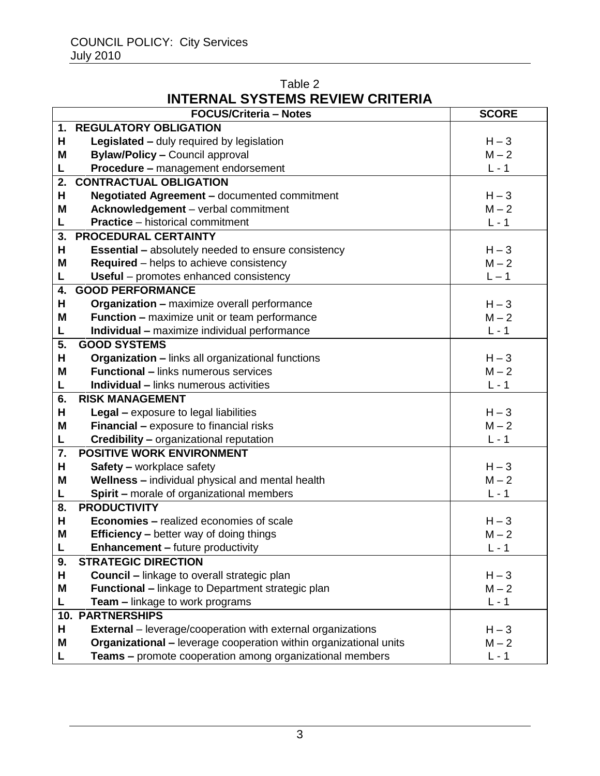# Table 2 **INTERNAL SYSTEMS REVIEW CRITERIA**

|    | <b>FOCUS/Criteria - Notes</b>                                            | <b>SCORE</b> |
|----|--------------------------------------------------------------------------|--------------|
| 1. | <b>REGULATORY OBLIGATION</b>                                             |              |
| Н  | Legislated - duly required by legislation                                | $H - 3$      |
| Μ  | <b>Bylaw/Policy - Council approval</b>                                   | $M - 2$      |
| L  | <b>Procedure - management endorsement</b>                                | $L - 1$      |
| 2. | <b>CONTRACTUAL OBLIGATION</b>                                            |              |
| н  | Negotiated Agreement - documented commitment                             | $H - 3$      |
| M  | Acknowledgement - verbal commitment                                      | $M - 2$      |
| L  | <b>Practice</b> – historical commitment                                  | $L - 1$      |
| 3. | <b>PROCEDURAL CERTAINTY</b>                                              |              |
| Н  | <b>Essential - absolutely needed to ensure consistency</b>               | $H - 3$      |
| Μ  | <b>Required</b> – helps to achieve consistency                           | $M - 2$      |
| L  | Useful - promotes enhanced consistency                                   | $L - 1$      |
| 4. | <b>GOOD PERFORMANCE</b>                                                  |              |
| н  | <b>Organization - maximize overall performance</b>                       | $H - 3$      |
| M  | <b>Function - maximize unit or team performance</b>                      | $M - 2$      |
| L  | Individual - maximize individual performance                             | $L - 1$      |
| 5. | <b>GOOD SYSTEMS</b>                                                      |              |
| н  | Organization - links all organizational functions                        | $H - 3$      |
| M  | <b>Functional - links numerous services</b>                              | $M - 2$      |
| L  | <b>Individual - links numerous activities</b>                            | $L - 1$      |
| 6. | <b>RISK MANAGEMENT</b>                                                   |              |
| н  | Legal - exposure to legal liabilities                                    | $H - 3$      |
| Μ  | Financial - exposure to financial risks                                  | $M - 2$      |
| L  | <b>Credibility - organizational reputation</b>                           | $L - 1$      |
| 7. | <b>POSITIVE WORK ENVIRONMENT</b>                                         |              |
| н  | <b>Safety - workplace safety</b>                                         | $H - 3$      |
| M  | Wellness - individual physical and mental health                         | $M - 2$      |
| L  | <b>Spirit - morale of organizational members</b>                         | $L - 1$      |
| 8. | <b>PRODUCTIVITY</b>                                                      |              |
| Н  | <b>Economies - realized economies of scale</b>                           | $H - 3$      |
| M  | <b>Efficiency</b> – better way of doing things                           | $M - 2$      |
| L  | <b>Enhancement - future productivity</b>                                 | $L - 1$      |
| 9. | <b>STRATEGIC DIRECTION</b>                                               |              |
| н  | <b>Council - linkage to overall strategic plan</b>                       | $H - 3$      |
| M  | <b>Functional</b> – linkage to Department strategic plan                 | $M - 2$      |
| L  | Team - linkage to work programs                                          | $L - 1$      |
|    | <b>10. PARTNERSHIPS</b>                                                  |              |
| н  | <b>External</b> – leverage/cooperation with external organizations       | $H - 3$      |
| Μ  | <b>Organizational - leverage cooperation within organizational units</b> | $M - 2$      |
| L  | <b>Teams - promote cooperation among organizational members</b>          | $L - 1$      |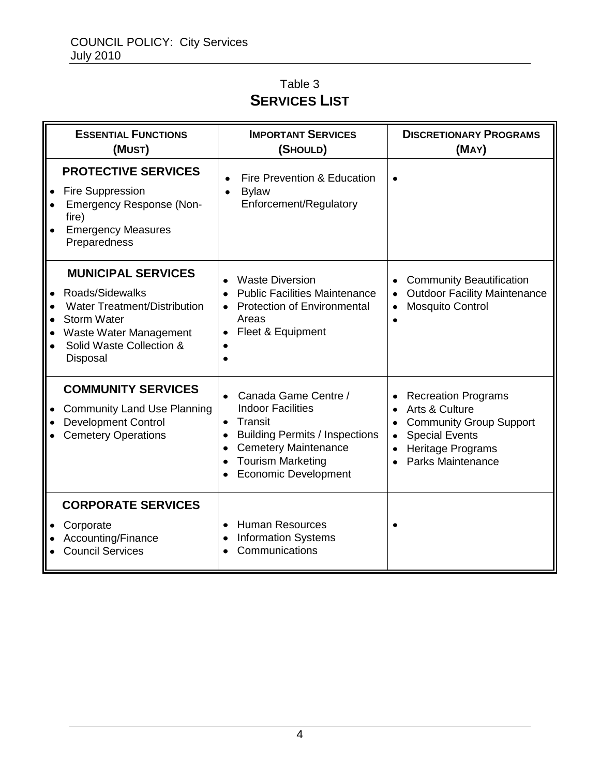# Table 3 **SERVICES LIST**

|                        | <b>ESSENTIAL FUNCTIONS</b><br>(MUST)                                                                                                                                        | <b>IMPORTANT SERVICES</b><br>(SHOULD)                                                                                                                                                                                                                   | <b>DISCRETIONARY PROGRAMS</b><br>(MAY)                                                                                                                         |
|------------------------|-----------------------------------------------------------------------------------------------------------------------------------------------------------------------------|---------------------------------------------------------------------------------------------------------------------------------------------------------------------------------------------------------------------------------------------------------|----------------------------------------------------------------------------------------------------------------------------------------------------------------|
| $\bullet$              | <b>PROTECTIVE SERVICES</b><br>Fire Suppression<br><b>Emergency Response (Non-</b><br>fire)<br><b>Emergency Measures</b><br>Preparedness                                     | Fire Prevention & Education<br>$\bullet$<br><b>Bylaw</b><br>$\bullet$<br>Enforcement/Regulatory                                                                                                                                                         |                                                                                                                                                                |
| $\bullet$<br>$\bullet$ | <b>MUNICIPAL SERVICES</b><br>Roads/Sidewalks<br><b>Water Treatment/Distribution</b><br><b>Storm Water</b><br>Waste Water Management<br>Solid Waste Collection &<br>Disposal | <b>Waste Diversion</b><br>$\bullet$<br><b>Public Facilities Maintenance</b><br>$\bullet$<br><b>Protection of Environmental</b><br>Areas<br>Fleet & Equipment<br>٠                                                                                       | <b>Community Beautification</b><br><b>Outdoor Facility Maintenance</b><br><b>Mosquito Control</b><br>$\bullet$                                                 |
|                        | <b>COMMUNITY SERVICES</b><br><b>Community Land Use Planning</b><br><b>Development Control</b><br><b>Cemetery Operations</b>                                                 | Canada Game Centre /<br>$\bullet$<br><b>Indoor Facilities</b><br>Transit<br>$\bullet$<br><b>Building Permits / Inspections</b><br>٠<br><b>Cemetery Maintenance</b><br>$\bullet$<br><b>Tourism Marketing</b><br>$\bullet$<br><b>Economic Development</b> | <b>Recreation Programs</b><br>Arts & Culture<br><b>Community Group Support</b><br><b>Special Events</b><br>$\bullet$<br>Heritage Programs<br>Parks Maintenance |
|                        | <b>CORPORATE SERVICES</b><br>Corporate<br>Accounting/Finance<br><b>Council Services</b>                                                                                     | <b>Human Resources</b><br>$\bullet$<br><b>Information Systems</b><br>٠<br>Communications                                                                                                                                                                |                                                                                                                                                                |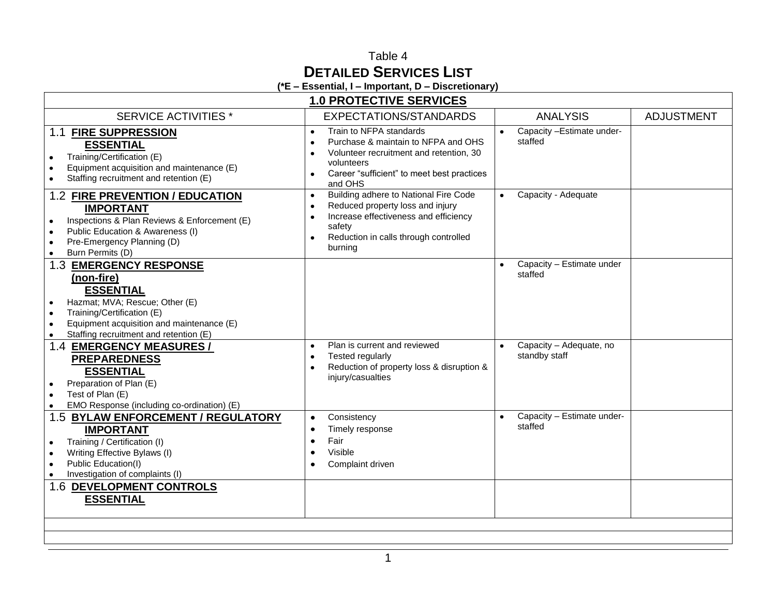# Table 4 **DETAILED SERVICES LIST**

**(\*E – Essential, I – Important, D – Discretionary)**

| <b>1.0 PROTECTIVE SERVICES</b>                                                                                                                                                                                                                         |                                                                                                                                                                                                            |                                                       |                   |
|--------------------------------------------------------------------------------------------------------------------------------------------------------------------------------------------------------------------------------------------------------|------------------------------------------------------------------------------------------------------------------------------------------------------------------------------------------------------------|-------------------------------------------------------|-------------------|
| <b>SERVICE ACTIVITIES*</b>                                                                                                                                                                                                                             | EXPECTATIONS/STANDARDS                                                                                                                                                                                     | <b>ANALYSIS</b>                                       | <b>ADJUSTMENT</b> |
| 1.1 FIRE SUPPRESSION<br><b>ESSENTIAL</b><br>Training/Certification (E)<br>$\bullet$<br>Equipment acquisition and maintenance (E)<br>$\bullet$<br>Staffing recruitment and retention (E)<br>$\bullet$                                                   | Train to NFPA standards<br>$\bullet$<br>Purchase & maintain to NFPA and OHS<br>$\bullet$<br>Volunteer recruitment and retention, 30<br>volunteers<br>Career "sufficient" to meet best practices<br>and OHS | Capacity - Estimate under-<br>$\bullet$<br>staffed    |                   |
| 1.2 FIRE PREVENTION / EDUCATION<br><b>IMPORTANT</b><br>Inspections & Plan Reviews & Enforcement (E)<br>$\bullet$<br>Public Education & Awareness (I)<br>$\bullet$<br>Pre-Emergency Planning (D)<br>Burn Permits (D)                                    | Building adhere to National Fire Code<br>$\bullet$<br>Reduced property loss and injury<br>Increase effectiveness and efficiency<br>safety<br>Reduction in calls through controlled<br>burning              | Capacity - Adequate                                   |                   |
| 1.3 EMERGENCY RESPONSE<br>(non-fire)<br><b>ESSENTIAL</b><br>Hazmat; MVA; Rescue; Other (E)<br>$\bullet$<br>Training/Certification (E)<br>$\bullet$<br>Equipment acquisition and maintenance (E)<br>Staffing recruitment and retention (E)<br>$\bullet$ |                                                                                                                                                                                                            | Capacity - Estimate under<br>$\bullet$<br>staffed     |                   |
| 1.4 EMERGENCY MEASURES /<br><b>PREPAREDNESS</b><br><b>ESSENTIAL</b><br>Preparation of Plan (E)<br>Test of Plan (E)<br>$\bullet$<br>EMO Response (including co-ordination) (E)                                                                          | Plan is current and reviewed<br>$\bullet$<br>Tested regularly<br>Reduction of property loss & disruption &<br>injury/casualties                                                                            | Capacity - Adequate, no<br>$\bullet$<br>standby staff |                   |
| 1.5 BYLAW ENFORCEMENT / REGULATORY<br><b>IMPORTANT</b><br>Training / Certification (I)<br>$\bullet$<br>Writing Effective Bylaws (I)<br>$\bullet$<br>Public Education(I)<br>Investigation of complaints (I)                                             | Consistency<br>$\bullet$<br>Timely response<br>Fair<br>Visible<br>Complaint driven                                                                                                                         | Capacity - Estimate under-<br>$\bullet$<br>staffed    |                   |
| 1.6 DEVELOPMENT CONTROLS<br><b>ESSENTIAL</b>                                                                                                                                                                                                           |                                                                                                                                                                                                            |                                                       |                   |
|                                                                                                                                                                                                                                                        |                                                                                                                                                                                                            |                                                       |                   |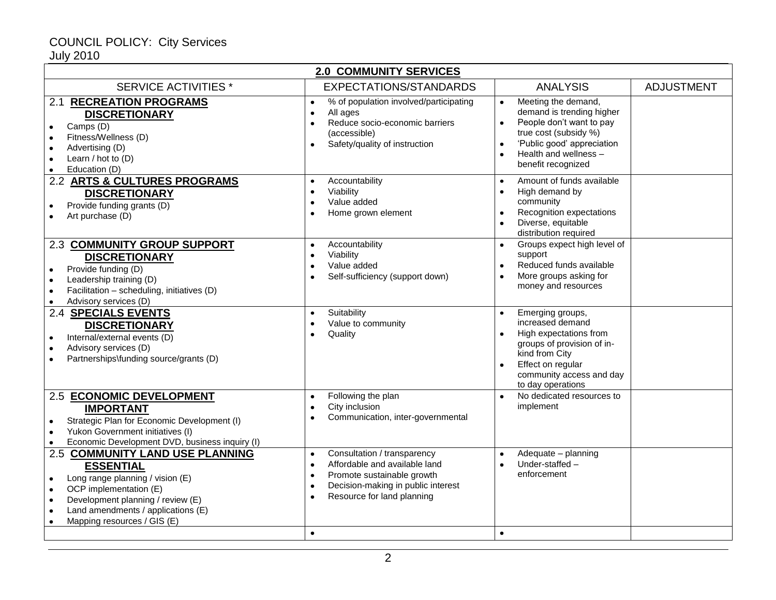| <b>2.0 COMMUNITY SERVICES</b>                                                                                                                                                                                                                                                                |                                                                                                                                                                                                                    |                                                                                                                                                                                                                                        |                   |  |
|----------------------------------------------------------------------------------------------------------------------------------------------------------------------------------------------------------------------------------------------------------------------------------------------|--------------------------------------------------------------------------------------------------------------------------------------------------------------------------------------------------------------------|----------------------------------------------------------------------------------------------------------------------------------------------------------------------------------------------------------------------------------------|-------------------|--|
| <b>SERVICE ACTIVITIES *</b>                                                                                                                                                                                                                                                                  | EXPECTATIONS/STANDARDS                                                                                                                                                                                             | <b>ANALYSIS</b>                                                                                                                                                                                                                        | <b>ADJUSTMENT</b> |  |
| <b>RECREATION PROGRAMS</b><br>2.1<br><b>DISCRETIONARY</b><br>Camps (D)<br>$\bullet$<br>Fitness/Wellness (D)<br>$\bullet$<br>Advertising (D)<br>$\bullet$<br>Learn / hot to (D)<br>Education (D)<br>$\bullet$                                                                                 | % of population involved/participating<br>$\bullet$<br>All ages<br>Reduce socio-economic barriers<br>(accessible)<br>Safety/quality of instruction                                                                 | Meeting the demand,<br>$\bullet$<br>demand is trending higher<br>People don't want to pay<br>$\bullet$<br>true cost (subsidy %)<br>'Public good' appreciation<br>$\bullet$<br>Health and wellness -<br>$\bullet$<br>benefit recognized |                   |  |
| 2.2 ARTS & CULTURES PROGRAMS<br><b>DISCRETIONARY</b><br>Provide funding grants (D)<br>$\bullet$<br>Art purchase (D)                                                                                                                                                                          | Accountability<br>$\bullet$<br>Viability<br>Value added<br>Home grown element                                                                                                                                      | Amount of funds available<br>$\bullet$<br>High demand by<br>$\bullet$<br>community<br>Recognition expectations<br>$\bullet$<br>Diverse, equitable<br>distribution required                                                             |                   |  |
| <b>2.3 COMMUNITY GROUP SUPPORT</b><br><b>DISCRETIONARY</b><br>Provide funding (D)<br>$\bullet$<br>Leadership training (D)<br>$\bullet$<br>Facilitation - scheduling, initiatives (D)<br>$\bullet$<br>Advisory services (D)<br>$\bullet$                                                      | Accountability<br>$\bullet$<br>Viability<br>$\bullet$<br>Value added<br>Self-sufficiency (support down)                                                                                                            | Groups expect high level of<br>support<br>Reduced funds available<br>More groups asking for<br>$\bullet$<br>money and resources                                                                                                        |                   |  |
| <b>2.4 SPECIALS EVENTS</b><br><b>DISCRETIONARY</b><br>Internal/external events (D)<br>$\bullet$<br>Advisory services (D)<br>Partnerships\funding source/grants (D)                                                                                                                           | Suitability<br>$\bullet$<br>Value to community<br>Quality                                                                                                                                                          | Emerging groups,<br>$\bullet$<br>increased demand<br>High expectations from<br>$\bullet$<br>groups of provision of in-<br>kind from City<br>Effect on regular<br>$\bullet$<br>community access and day<br>to day operations            |                   |  |
| 2.5 ECONOMIC DEVELOPMENT<br><b>IMPORTANT</b><br>Strategic Plan for Economic Development (I)<br>$\bullet$<br>Yukon Government initiatives (I)<br>$\bullet$<br>Economic Development DVD, business inquiry (I)                                                                                  | Following the plan<br>$\bullet$<br>City inclusion<br>$\bullet$<br>Communication, inter-governmental                                                                                                                | No dedicated resources to<br>$\bullet$<br>implement                                                                                                                                                                                    |                   |  |
| 2.5 COMMUNITY LAND USE PLANNING<br><b>ESSENTIAL</b><br>Long range planning / vision (E)<br>$\bullet$<br>OCP implementation (E)<br>$\bullet$<br>Development planning / review (E)<br>$\bullet$<br>Land amendments / applications (E)<br>$\bullet$<br>Mapping resources / GIS (E)<br>$\bullet$ | Consultation / transparency<br>$\bullet$<br>Affordable and available land<br>$\bullet$<br>Promote sustainable growth<br>$\bullet$<br>Decision-making in public interest<br>Resource for land planning<br>$\bullet$ | Adequate - planning<br>Under-staffed-<br>$\bullet$<br>enforcement<br>$\bullet$                                                                                                                                                         |                   |  |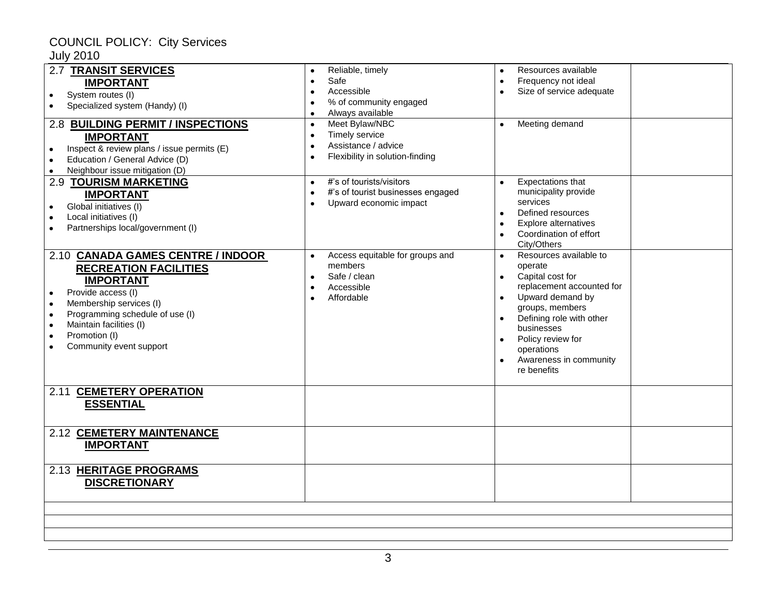| 2.7 TRANSIT SERVICES<br><b>IMPORTANT</b><br>System routes (I)<br>$\bullet$<br>Specialized system (Handy) (I)<br>2.8 BUILDING PERMIT / INSPECTIONS<br><b>IMPORTANT</b><br>Inspect & review plans / issue permits (E)<br>Education / General Advice (D)<br>$\bullet$<br>Neighbour issue mitigation (D)<br>$\bullet$ | Reliable, timely<br>Safe<br>$\bullet$<br>Accessible<br>% of community engaged<br>Always available<br>$\bullet$<br>Meet Bylaw/NBC<br>Timely service<br>Assistance / advice<br>$\bullet$<br>Flexibility in solution-finding | Resources available<br>$\bullet$<br>Frequency not ideal<br>٠<br>Size of service adequate<br>Meeting demand                                                                                                                                                                |  |
|-------------------------------------------------------------------------------------------------------------------------------------------------------------------------------------------------------------------------------------------------------------------------------------------------------------------|---------------------------------------------------------------------------------------------------------------------------------------------------------------------------------------------------------------------------|---------------------------------------------------------------------------------------------------------------------------------------------------------------------------------------------------------------------------------------------------------------------------|--|
| <b>2.9 TOURISM MARKETING</b><br><b>IMPORTANT</b><br>Global initiatives (I)<br>٠<br>Local initiatives (I)<br>$\bullet$<br>Partnerships local/government (I)                                                                                                                                                        | #'s of tourists/visitors<br>$\bullet$<br>#'s of tourist businesses engaged<br>Upward economic impact                                                                                                                      | Expectations that<br>municipality provide<br>services<br>Defined resources<br>$\bullet$<br>Explore alternatives<br>Coordination of effort<br>City/Others                                                                                                                  |  |
| 2.10 CANADA GAMES CENTRE / INDOOR<br><b>RECREATION FACILITIES</b><br><b>IMPORTANT</b><br>Provide access (I)<br>$\bullet$<br>Membership services (I)<br>$\bullet$<br>Programming schedule of use (I)<br>$\bullet$<br>Maintain facilities (I)<br>$\bullet$<br>Promotion (I)<br>$\bullet$<br>Community event support | Access equitable for groups and<br>$\bullet$<br>members<br>Safe / clean<br>Accessible<br>Affordable                                                                                                                       | Resources available to<br>$\bullet$<br>operate<br>Capital cost for<br>$\bullet$<br>replacement accounted for<br>Upward demand by<br>groups, members<br>Defining role with other<br>businesses<br>Policy review for<br>operations<br>Awareness in community<br>re benefits |  |
| <b>CEMETERY OPERATION</b><br>2.11<br><b>ESSENTIAL</b>                                                                                                                                                                                                                                                             |                                                                                                                                                                                                                           |                                                                                                                                                                                                                                                                           |  |
| 2.12 CEMETERY MAINTENANCE<br><b>IMPORTANT</b>                                                                                                                                                                                                                                                                     |                                                                                                                                                                                                                           |                                                                                                                                                                                                                                                                           |  |
| 2.13 HERITAGE PROGRAMS<br><b>DISCRETIONARY</b>                                                                                                                                                                                                                                                                    |                                                                                                                                                                                                                           |                                                                                                                                                                                                                                                                           |  |
|                                                                                                                                                                                                                                                                                                                   |                                                                                                                                                                                                                           |                                                                                                                                                                                                                                                                           |  |
|                                                                                                                                                                                                                                                                                                                   |                                                                                                                                                                                                                           |                                                                                                                                                                                                                                                                           |  |
|                                                                                                                                                                                                                                                                                                                   |                                                                                                                                                                                                                           |                                                                                                                                                                                                                                                                           |  |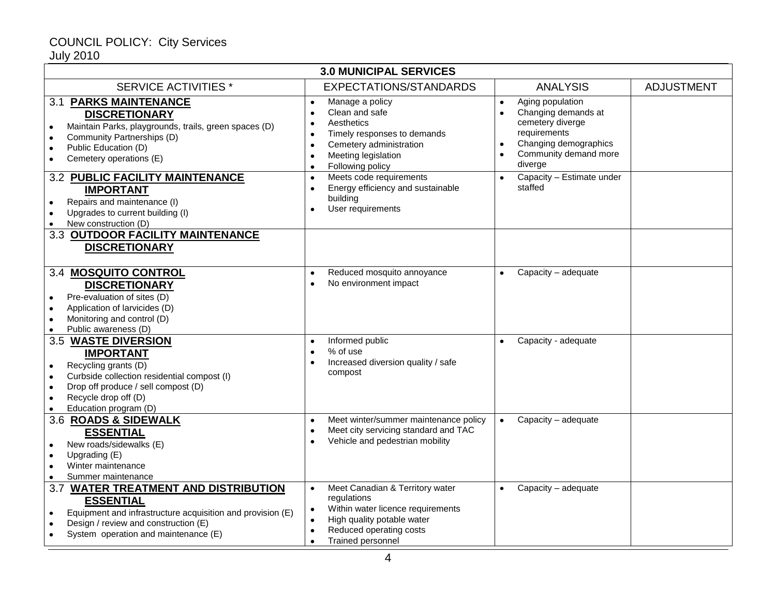July 2010

| <b>3.0 MUNICIPAL SERVICES</b>                                                                                                                                                                                       |                                                                                                                                                                                                                      |                                                                                                                                                                    |                   |
|---------------------------------------------------------------------------------------------------------------------------------------------------------------------------------------------------------------------|----------------------------------------------------------------------------------------------------------------------------------------------------------------------------------------------------------------------|--------------------------------------------------------------------------------------------------------------------------------------------------------------------|-------------------|
| <b>SERVICE ACTIVITIES*</b>                                                                                                                                                                                          | EXPECTATIONS/STANDARDS                                                                                                                                                                                               | <b>ANALYSIS</b>                                                                                                                                                    | <b>ADJUSTMENT</b> |
| <b>3.1 PARKS MAINTENANCE</b><br><b>DISCRETIONARY</b><br>Maintain Parks, playgrounds, trails, green spaces (D)<br>Community Partnerships (D)<br>Public Education (D)<br>Cemetery operations (E)                      | Manage a policy<br>Clean and safe<br>Aesthetics<br>Timely responses to demands<br>$\bullet$<br>Cemetery administration<br>$\bullet$<br>Meeting legislation<br>Following policy<br>$\bullet$                          | Aging population<br>$\bullet$<br>Changing demands at<br>$\bullet$<br>cemetery diverge<br>requirements<br>Changing demographics<br>Community demand more<br>diverge |                   |
| 3.2 PUBLIC FACILITY MAINTENANCE<br><b>IMPORTANT</b><br>Repairs and maintenance (I)<br>Upgrades to current building (I)<br>New construction (D)<br>3.3 OUTDOOR FACILITY MAINTENANCE                                  | Meets code requirements<br>$\bullet$<br>Energy efficiency and sustainable<br>building<br>User requirements                                                                                                           | Capacity - Estimate under<br>$\bullet$<br>staffed                                                                                                                  |                   |
| <b>DISCRETIONARY</b><br>3.4 MOSQUITO CONTROL                                                                                                                                                                        | Reduced mosquito annoyance<br>$\bullet$                                                                                                                                                                              | Capacity - adequate                                                                                                                                                |                   |
| <b>DISCRETIONARY</b><br>Pre-evaluation of sites (D)<br>Application of larvicides (D)<br>$\bullet$<br>Monitoring and control (D)<br>$\bullet$<br>Public awareness (D)                                                | No environment impact                                                                                                                                                                                                |                                                                                                                                                                    |                   |
| 3.5 WASTE DIVERSION<br><b>IMPORTANT</b><br>Recycling grants (D)<br>Curbside collection residential compost (I)<br>$\bullet$<br>Drop off produce / sell compost (D)<br>Recycle drop off (D)<br>Education program (D) | Informed public<br>$\bullet$<br>% of use<br>$\bullet$<br>Increased diversion quality / safe<br>compost                                                                                                               | Capacity - adequate                                                                                                                                                |                   |
| 3.6 ROADS & SIDEWALK<br><b>ESSENTIAL</b><br>New roads/sidewalks (E)<br>Upgrading (E)<br>Winter maintenance<br>Summer maintenance                                                                                    | Meet winter/summer maintenance policy<br>$\bullet$<br>Meet city servicing standard and TAC<br>Vehicle and pedestrian mobility                                                                                        | Capacity - adequate<br>$\bullet$                                                                                                                                   |                   |
| 3.7 WATER TREATMENT AND DISTRIBUTION<br><b>ESSENTIAL</b><br>Equipment and infrastructure acquisition and provision (E)<br>Design / review and construction (E)<br>System operation and maintenance (E)              | Meet Canadian & Territory water<br>$\bullet$<br>regulations<br>Within water licence requirements<br>$\bullet$<br>High quality potable water<br>Reduced operating costs<br>٠<br><b>Trained personnel</b><br>$\bullet$ | Capacity - adequate                                                                                                                                                |                   |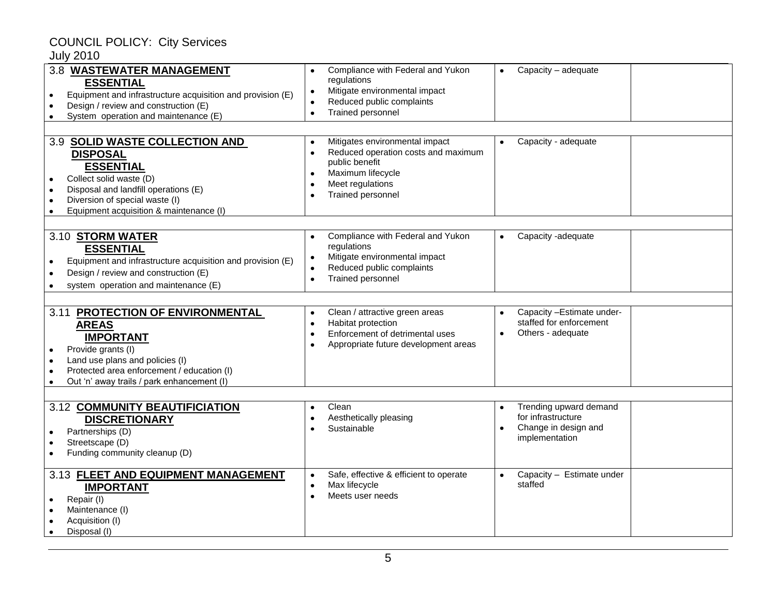| 3.8 WASTEWATER MANAGEMENT<br><b>ESSENTIAL</b><br>Equipment and infrastructure acquisition and provision (E)<br>٠<br>Design / review and construction (E)<br>System operation and maintenance (E)                          | Compliance with Federal and Yukon<br>regulations<br>Mitigate environmental impact<br>$\bullet$<br>Reduced public complaints<br>$\bullet$<br>Trained personnel<br>$\bullet$              | Capacity - adequate                                                                    |
|---------------------------------------------------------------------------------------------------------------------------------------------------------------------------------------------------------------------------|-----------------------------------------------------------------------------------------------------------------------------------------------------------------------------------------|----------------------------------------------------------------------------------------|
|                                                                                                                                                                                                                           |                                                                                                                                                                                         |                                                                                        |
| 3.9 SOLID WASTE COLLECTION AND<br><b>DISPOSAL</b><br><b>ESSENTIAL</b><br>Collect solid waste (D)<br>Disposal and landfill operations (E)<br>Diversion of special waste (I)<br>Equipment acquisition & maintenance (I)     | Mitigates environmental impact<br>Reduced operation costs and maximum<br>public benefit<br>Maximum lifecycle<br>Meet regulations<br>$\bullet$<br>Trained personnel<br>$\bullet$         | Capacity - adequate                                                                    |
|                                                                                                                                                                                                                           |                                                                                                                                                                                         |                                                                                        |
| 3.10 STORM WATER<br><b>ESSENTIAL</b><br>Equipment and infrastructure acquisition and provision (E)<br>Design / review and construction (E)<br>system operation and maintenance (E)                                        | Compliance with Federal and Yukon<br>$\bullet$<br>regulations<br>Mitigate environmental impact<br>$\bullet$<br>Reduced public complaints<br>$\bullet$<br>Trained personnel<br>$\bullet$ | Capacity -adequate<br>$\bullet$                                                        |
|                                                                                                                                                                                                                           |                                                                                                                                                                                         | Capacity - Estimate under-                                                             |
| 3.11 PROTECTION OF ENVIRONMENTAL<br><b>AREAS</b><br><b>IMPORTANT</b><br>Provide grants (I)<br>Land use plans and policies (I)<br>Protected area enforcement / education (I)<br>Out 'n' away trails / park enhancement (I) | Clean / attractive green areas<br>$\bullet$<br>Habitat protection<br>$\bullet$<br>Enforcement of detrimental uses<br>$\bullet$<br>Appropriate future development areas                  | staffed for enforcement<br>Others - adequate                                           |
|                                                                                                                                                                                                                           |                                                                                                                                                                                         |                                                                                        |
| 3.12 COMMUNITY BEAUTIFICIATION<br><b>DISCRETIONARY</b><br>Partnerships (D)<br>Streetscape (D)<br>Funding community cleanup (D)                                                                                            | Clean<br>Aesthetically pleasing<br>$\bullet$<br>Sustainable                                                                                                                             | Trending upward demand<br>for infrastructure<br>Change in design and<br>implementation |
| 3.13 FLEET AND EQUIPMENT MANAGEMENT<br><b>IMPORTANT</b><br>Repair (I)<br>Maintenance (I)<br>Acquisition (I)<br>Disposal (I)                                                                                               | Safe, effective & efficient to operate<br>$\bullet$<br>Max lifecycle<br>Meets user needs<br>$\bullet$                                                                                   | Capacity - Estimate under<br>staffed                                                   |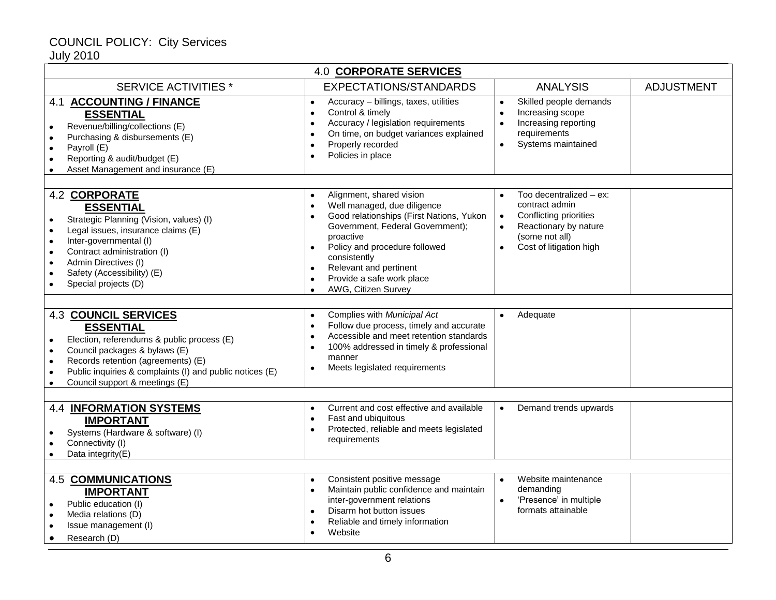| <b>4.0 CORPORATE SERVICES</b>                                                                                                                                                                                                                                                                                                                        |                                                                                                                                                                                                                                                                                                               |                                                                                                                                                                                               |                   |  |
|------------------------------------------------------------------------------------------------------------------------------------------------------------------------------------------------------------------------------------------------------------------------------------------------------------------------------------------------------|---------------------------------------------------------------------------------------------------------------------------------------------------------------------------------------------------------------------------------------------------------------------------------------------------------------|-----------------------------------------------------------------------------------------------------------------------------------------------------------------------------------------------|-------------------|--|
| <b>SERVICE ACTIVITIES*</b>                                                                                                                                                                                                                                                                                                                           | EXPECTATIONS/STANDARDS                                                                                                                                                                                                                                                                                        | <b>ANALYSIS</b>                                                                                                                                                                               | <b>ADJUSTMENT</b> |  |
| <b>ACCOUNTING / FINANCE</b><br>4.1<br><b>ESSENTIAL</b><br>Revenue/billing/collections (E)<br>$\bullet$<br>Purchasing & disbursements (E)<br>$\bullet$<br>Payroll (E)<br>$\bullet$<br>Reporting & audit/budget (E)<br>Asset Management and insurance (E)                                                                                              | Accuracy - billings, taxes, utilities<br>$\bullet$<br>Control & timely<br>Accuracy / legislation requirements<br>٠<br>On time, on budget variances explained<br>Properly recorded<br>Policies in place<br>$\bullet$                                                                                           | Skilled people demands<br>Increasing scope<br>$\bullet$<br>Increasing reporting<br>$\bullet$<br>requirements<br>Systems maintained<br>$\bullet$                                               |                   |  |
| 4.2 CORPORATE<br><b>ESSENTIAL</b><br>Strategic Planning (Vision, values) (I)<br>$\bullet$<br>Legal issues, insurance claims (E)<br>$\bullet$<br>Inter-governmental (I)<br>$\bullet$<br>Contract administration (I)<br>$\bullet$<br>Admin Directives (I)<br>$\bullet$<br>Safety (Accessibility) (E)<br>$\bullet$<br>Special projects (D)<br>$\bullet$ | Alignment, shared vision<br>$\bullet$<br>Well managed, due diligence<br>$\bullet$<br>Good relationships (First Nations, Yukon<br>Government, Federal Government);<br>proactive<br>Policy and procedure followed<br>consistently<br>Relevant and pertinent<br>Provide a safe work place<br>AWG, Citizen Survey | Too decentralized - ex:<br>$\bullet$<br>contract admin<br>Conflicting priorities<br>$\bullet$<br>Reactionary by nature<br>$\bullet$<br>(some not all)<br>Cost of litigation high<br>$\bullet$ |                   |  |
| <b>4.3 COUNCIL SERVICES</b><br><b>ESSENTIAL</b><br>Election, referendums & public process (E)<br>$\bullet$<br>Council packages & bylaws (E)<br>$\bullet$<br>Records retention (agreements) (E)<br>$\bullet$<br>Public inquiries & complaints (I) and public notices (E)<br>$\bullet$<br>Council support & meetings (E)<br>$\bullet$                  | Complies with Municipal Act<br>$\bullet$<br>Follow due process, timely and accurate<br>Accessible and meet retention standards<br>100% addressed in timely & professional<br>manner<br>Meets legislated requirements                                                                                          | Adequate                                                                                                                                                                                      |                   |  |
| <b>4.4 INFORMATION SYSTEMS</b><br><b>IMPORTANT</b><br>Systems (Hardware & software) (I)<br>Connectivity (I)<br>$\bullet$<br>Data integrity(E)<br>$\bullet$                                                                                                                                                                                           | Current and cost effective and available<br>$\bullet$<br>Fast and ubiquitous<br>Protected, reliable and meets legislated<br>requirements                                                                                                                                                                      | Demand trends upwards<br>$\bullet$                                                                                                                                                            |                   |  |
| <b>4.5 COMMUNICATIONS</b><br><b>IMPORTANT</b><br>Public education (I)<br>$\bullet$<br>Media relations (D)<br>$\bullet$<br>Issue management (I)<br>Research (D)                                                                                                                                                                                       | Consistent positive message<br>$\bullet$<br>Maintain public confidence and maintain<br>inter-government relations<br>Disarm hot button issues<br>Reliable and timely information<br>Website                                                                                                                   | Website maintenance<br>$\bullet$<br>demanding<br>'Presence' in multiple<br>$\bullet$<br>formats attainable                                                                                    |                   |  |